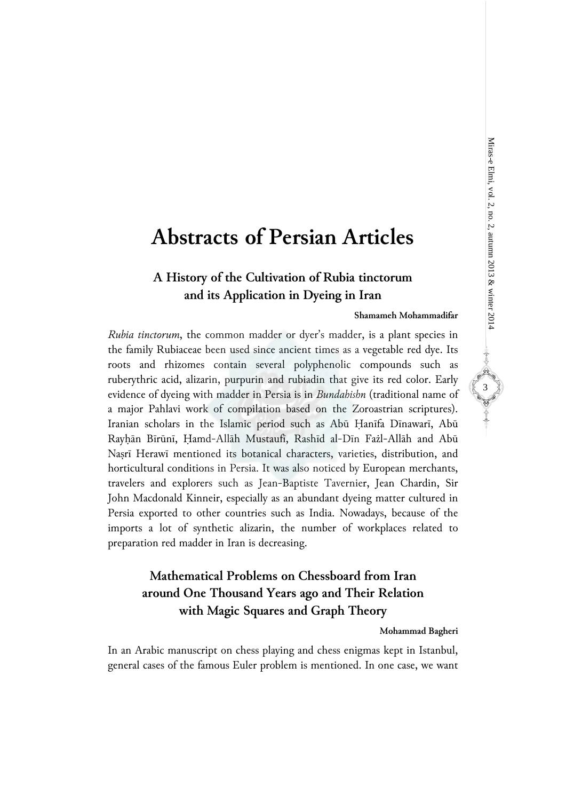# **Abstracts of Persian Articles**

# **A History of the Cultivation of Rubia tinctorum and its Application in Dyeing in Iran**

### **Shamameh Mohammadifar**

*Rubia tinctorum*, the common madder or dyer's madder, is a plant species in the family Rubiaceae been used since ancient times as a vegetable red dye. Its roots and rhizomes contain several polyphenolic compounds such as ruberythric acid, alizarin, purpurin and rubiadin that give its red color. Early evidence of dyeing with madder in Persia is in *Bundahishn* (traditional name of a major Pahlavi work of compilation based on the Zoroastrian scriptures). Iranian scholars in the Islamic period such as Abū Ḥanīfa Dīnawarī, Abū Rayḥān Bīrūnī, Ḥamd-Allāh Mustaufī, Rashīd al-Dīn Fażl-Allāh and Abū Naṣrī Herawī mentioned its botanical characters, varieties, distribution, and horticultural conditions in Persia. It was also noticed by European merchants, travelers and explorers such as Jean-Baptiste Tavernier, Jean Chardin, Sir John Macdonald Kinneir, especially as an abundant dyeing matter cultured in Persia exported to other countries such as India. Nowadays, because of the imports a lot of synthetic alizarin, the number of workplaces related to preparation red madder in Iran is decreasing.

# **Mathematical Problems on Chessboard from Iran around One Thousand Years ago and Their Relation with Magic Squares and Graph Theory**

### **Mohammad Bagheri**

In an Arabic manuscript on chess playing and chess enigmas kept in Istanbul, general cases of the famous Euler problem is mentioned. In one case, we want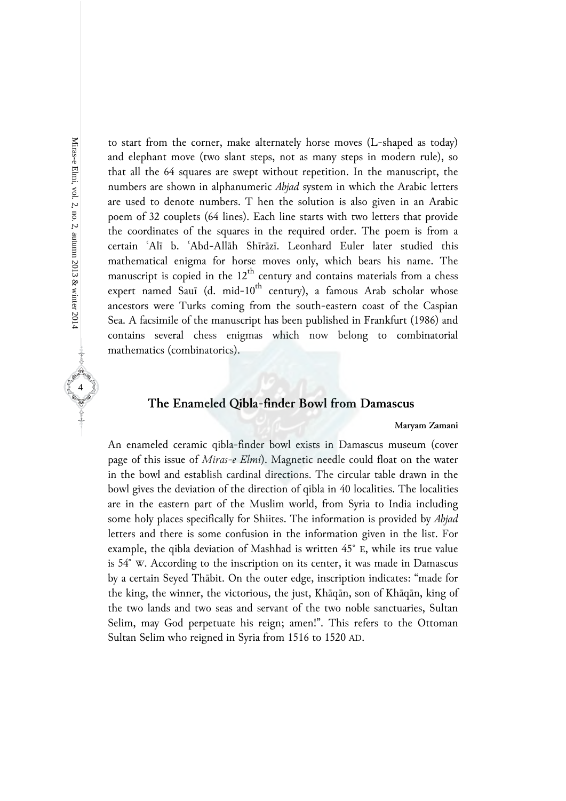to start from the corner, make alternately horse moves (L-shaped as today) and elephant move (two slant steps, not as many steps in modern rule), so that all the 64 squares are swept without repetition. In the manuscript, the numbers are shown in alphanumeric *Abjad* system in which the Arabic letters are used to denote numbers. T hen the solution is also given in an Arabic poem of 32 couplets (64 lines). Each line starts with two letters that provide the coordinates of the squares in the required order. The poem is from a certain ʿAlī b. ʿAbd-Allāh Shīrāzī. Leonhard Euler later studied this mathematical enigma for horse moves only, which bears his name. The manuscript is copied in the  $12<sup>th</sup>$  century and contains materials from a chess expert named Sauī (d. mid- $10^{th}$  century), a famous Arab scholar whose ancestors were Turks coming from the south-eastern coast of the Caspian Sea. A facsimile of the manuscript has been published in Frankfurt (1986) and contains several chess enigmas which now belong to combinatorial mathematics (combinatorics).

## **The Enameled Qibla-finder Bowl from Damascus**

### **Maryam Zamani**

An enameled ceramic qibla-finder bowl exists in Damascus museum (cover page of this issue of *Miras-e Elmi*). Magnetic needle could float on the water in the bowl and establish cardinal directions. The circular table drawn in the bowl gives the deviation of the direction of qibla in 40 localities. The localities are in the eastern part of the Muslim world, from Syria to India including some holy places specifically for Shiites. The information is provided by *Abjad* letters and there is some confusion in the information given in the list. For example, the qibla deviation of Mashhad is written 45° E, while its true value is 54° W. According to the inscription on its center, it was made in Damascus by a certain Seyed Thābit. On the outer edge, inscription indicates: "made for the king, the winner, the victorious, the just, Khāqān, son of Khāqān, king of the two lands and two seas and servant of the two noble sanctuaries, Sultan Selim, may God perpetuate his reign; amen!". This refers to the Ottoman Sultan Selim who reigned in Syria from 1516 to 1520 AD.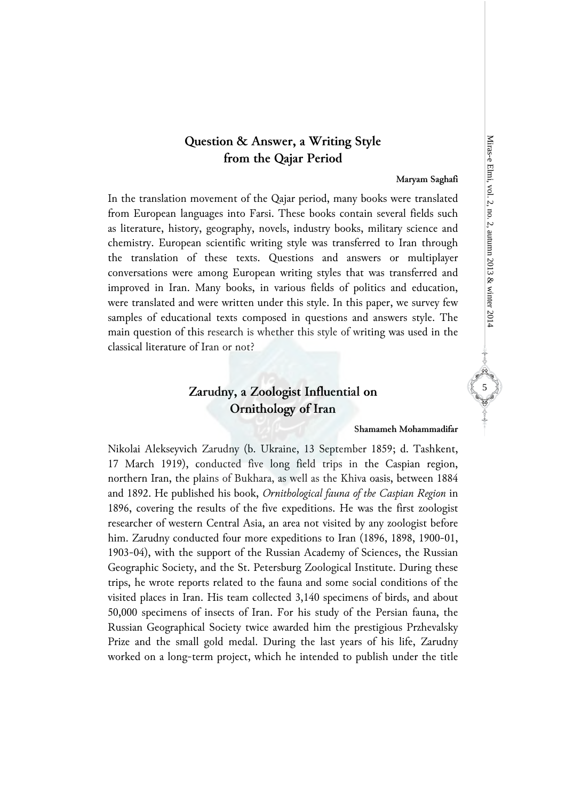# Miras-e Elmi, vol. 2, no. 2, autumn 2013 & winter 2014 Miras-e Elmi, vol. 2, no. 2, autumn 2013 & winter 2014

**CONTRACTOR** 

# **Question & Answer, a Writing Style from the Qajar Period**

**Maryam Saghafi** 

In the translation movement of the Qajar period, many books were translated from European languages into Farsi. These books contain several fields such as literature, history, geography, novels, industry books, military science and chemistry. European scientific writing style was transferred to Iran through the translation of these texts. Questions and answers or multiplayer conversations were among European writing styles that was transferred and improved in Iran. Many books, in various fields of politics and education, were translated and were written under this style. In this paper, we survey few samples of educational texts composed in questions and answers style. The main question of this research is whether this style of writing was used in the classical literature of Iran or not?

# **Zarudny, a Zoologist Influential on Ornithology of Iran**

### **Shamameh Mohammadifar**

Nikolai Alekseyvich Zarudny (b. Ukraine, 13 September 1859; d. Tashkent, 17 March 1919), conducted five long field trips in the Caspian region, northern Iran, the plains of Bukhara, as well as the Khiva oasis, between 1884 and 1892. He published his book, *Ornithological fauna of the Caspian Region* in 1896, covering the results of the five expeditions. He was the first zoologist researcher of western Central Asia, an area not visited by any zoologist before him. Zarudny conducted four more expeditions to Iran (1896, 1898, 1900-01, 1903-04), with the support of the Russian Academy of Sciences, the Russian Geographic Society, and the St. Petersburg Zoological Institute. During these trips, he wrote reports related to the fauna and some social conditions of the visited places in Iran. His team collected 3,140 specimens of birds, and about 50,000 specimens of insects of Iran. For his study of the Persian fauna, the Russian Geographical Society twice awarded him the prestigious Przhevalsky Prize and the small gold medal. During the last years of his life, Zarudny worked on a long-term project, which he intended to publish under the title